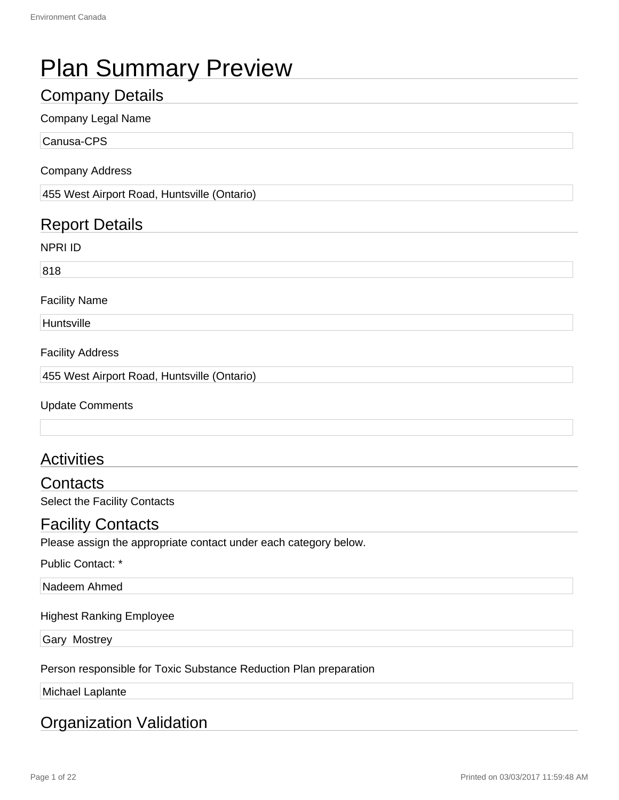# Plan Summary Preview

### Company Details

#### Company Legal Name

Canusa-CPS

#### Company Address

455 West Airport Road, Huntsville (Ontario)

### Report Details

NPRI ID

818

#### Facility Name

**Huntsville** 

#### Facility Address

455 West Airport Road, Huntsville (Ontario)

Update Comments

### **Activities**

**Contacts** 

Select the Facility Contacts

#### Facility Contacts

Please assign the appropriate contact under each category below.

Public Contact: \*

#### Nadeem Ahmed

#### Highest Ranking Employee

Gary Mostrey

Person responsible for Toxic Substance Reduction Plan preparation

Michael Laplante

#### Organization Validation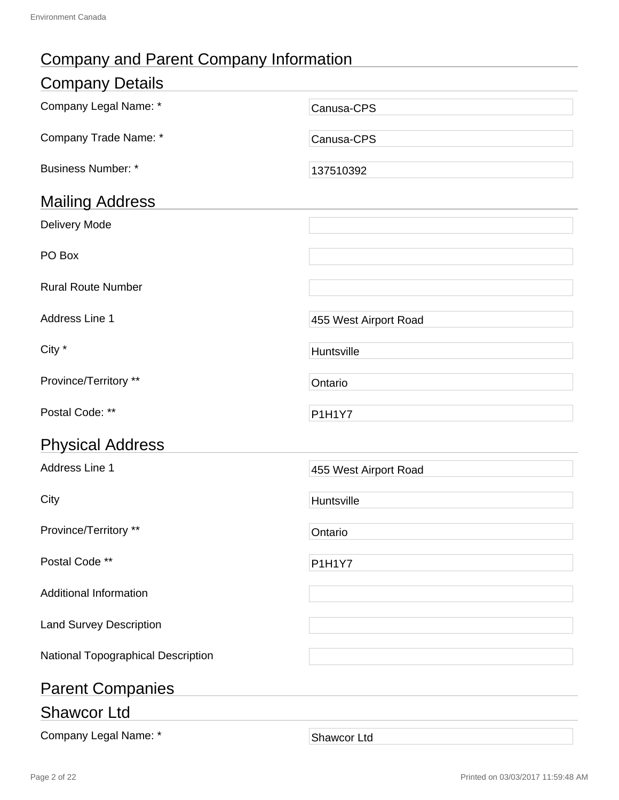# Company and Parent Company Information

| <b>Company Details</b>             |                       |
|------------------------------------|-----------------------|
| Company Legal Name: *              | Canusa-CPS            |
| Company Trade Name: *              | Canusa-CPS            |
| <b>Business Number: *</b>          | 137510392             |
| <b>Mailing Address</b>             |                       |
| <b>Delivery Mode</b>               |                       |
| PO Box                             |                       |
| <b>Rural Route Number</b>          |                       |
| Address Line 1                     | 455 West Airport Road |
| City *                             | Huntsville            |
| Province/Territory **              | Ontario               |
| Postal Code: **                    | <b>P1H1Y7</b>         |
| <b>Physical Address</b>            |                       |
| Address Line 1                     | 455 West Airport Road |
| City                               | Huntsville            |
| Province/Territory **              | Ontario               |
| Postal Code **                     | <b>P1H1Y7</b>         |
| <b>Additional Information</b>      |                       |
| <b>Land Survey Description</b>     |                       |
| National Topographical Description |                       |
| <b>Parent Companies</b>            |                       |
| <b>Shawcor Ltd</b>                 |                       |
| Company Legal Name: *              | Shawcor Ltd           |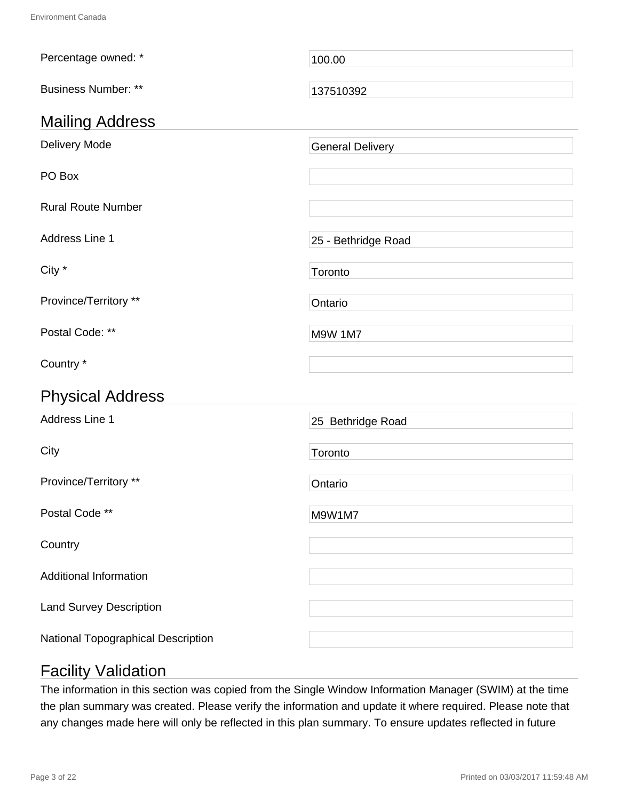| Percentage owned: *                | 100.00                  |
|------------------------------------|-------------------------|
| <b>Business Number: **</b>         | 137510392               |
| <b>Mailing Address</b>             |                         |
| Delivery Mode                      | <b>General Delivery</b> |
| PO Box                             |                         |
| <b>Rural Route Number</b>          |                         |
| Address Line 1                     | 25 - Bethridge Road     |
| City *                             | Toronto                 |
| Province/Territory **              | Ontario                 |
| Postal Code: **                    | <b>M9W 1M7</b>          |
| Country *                          |                         |
| <b>Physical Address</b>            |                         |
| Address Line 1                     | 25 Bethridge Road       |
| City                               | Toronto                 |
| Province/Territory **              | Ontario                 |
| Postal Code **                     | M9W1M7                  |
| Country                            |                         |
| <b>Additional Information</b>      |                         |
| <b>Land Survey Description</b>     |                         |
| National Topographical Description |                         |

# Facility Validation

The information in this section was copied from the Single Window Information Manager (SWIM) at the time the plan summary was created. Please verify the information and update it where required. Please note that any changes made here will only be reflected in this plan summary. To ensure updates reflected in future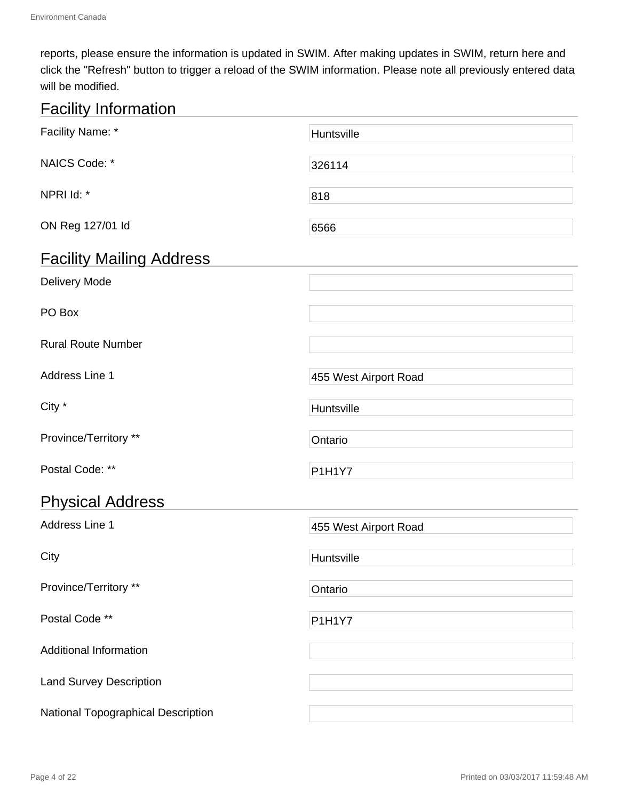reports, please ensure the information is updated in SWIM. After making updates in SWIM, return here and click the "Refresh" button to trigger a reload of the SWIM information. Please note all previously entered data will be modified.

# Facility Information

| Facility Name: *                   | Huntsville            |
|------------------------------------|-----------------------|
| NAICS Code: *                      | 326114                |
| NPRI Id: *                         | 818                   |
| ON Reg 127/01 ld                   | 6566                  |
| <b>Facility Mailing Address</b>    |                       |
| Delivery Mode                      |                       |
| PO Box                             |                       |
| <b>Rural Route Number</b>          |                       |
| Address Line 1                     | 455 West Airport Road |
| City *                             | Huntsville            |
| Province/Territory **              | Ontario               |
| Postal Code: **                    | <b>P1H1Y7</b>         |
| <b>Physical Address</b>            |                       |
| Address Line 1                     | 455 West Airport Road |
| City                               | Huntsville            |
| Province/Territory **              | Ontario               |
| Postal Code **                     | P1H1Y7                |
| <b>Additional Information</b>      |                       |
| <b>Land Survey Description</b>     |                       |
| National Topographical Description |                       |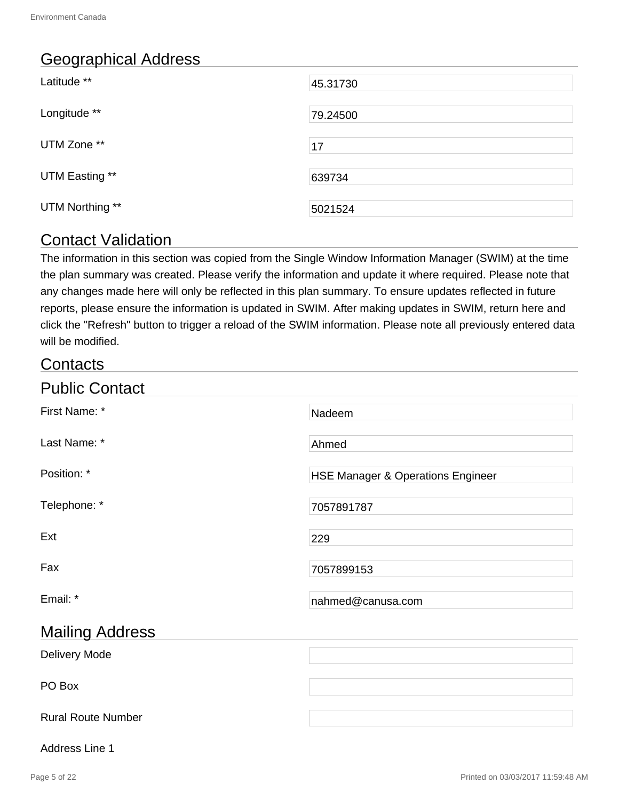# Geographical Address

| Latitude **     | 45.31730 |
|-----------------|----------|
| Longitude **    | 79.24500 |
| UTM Zone **     | 17       |
| UTM Easting **  | 639734   |
| UTM Northing ** | 5021524  |

### Contact Validation

The information in this section was copied from the Single Window Information Manager (SWIM) at the time the plan summary was created. Please verify the information and update it where required. Please note that any changes made here will only be reflected in this plan summary. To ensure updates reflected in future reports, please ensure the information is updated in SWIM. After making updates in SWIM, return here and click the "Refresh" button to trigger a reload of the SWIM information. Please note all previously entered data will be modified.

### **Contacts**

| <b>Public Contact</b>     |                                   |
|---------------------------|-----------------------------------|
| First Name: *             | Nadeem                            |
| Last Name: *              | Ahmed                             |
| Position: *               | HSE Manager & Operations Engineer |
| Telephone: *              | 7057891787                        |
| Ext                       | 229                               |
| Fax                       | 7057899153                        |
| Email: *                  | nahmed@canusa.com                 |
| <b>Mailing Address</b>    |                                   |
| Delivery Mode             |                                   |
| PO Box                    |                                   |
| <b>Rural Route Number</b> |                                   |

#### Address Line 1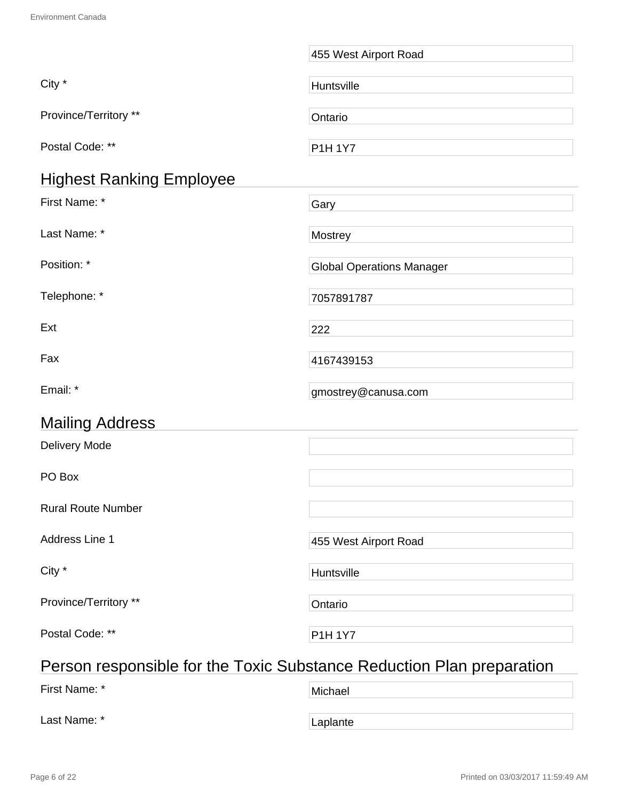|                                                                       | 455 West Airport Road            |
|-----------------------------------------------------------------------|----------------------------------|
| City *                                                                | Huntsville                       |
| Province/Territory **                                                 | Ontario                          |
| Postal Code: **                                                       | <b>P1H 1Y7</b>                   |
| <b>Highest Ranking Employee</b>                                       |                                  |
| First Name: *                                                         | Gary                             |
| Last Name: *                                                          | Mostrey                          |
| Position: *                                                           | <b>Global Operations Manager</b> |
| Telephone: *                                                          | 7057891787                       |
| Ext                                                                   | 222                              |
| Fax                                                                   | 4167439153                       |
| Email: *                                                              | gmostrey@canusa.com              |
| <b>Mailing Address</b>                                                |                                  |
| Delivery Mode                                                         |                                  |
| PO Box                                                                |                                  |
| <b>Rural Route Number</b>                                             |                                  |
| Address Line 1                                                        | 455 West Airport Road            |
| City *                                                                | Huntsville                       |
| Province/Territory **                                                 | Ontario                          |
| Postal Code: **                                                       | <b>P1H 1Y7</b>                   |
| Person responsible for the Toxic Substance Reduction Plan preparation |                                  |

# First Name: \* Wichael The Michael Theory of Michael Last Name: \* The Contract of the Laplante Capital Laplante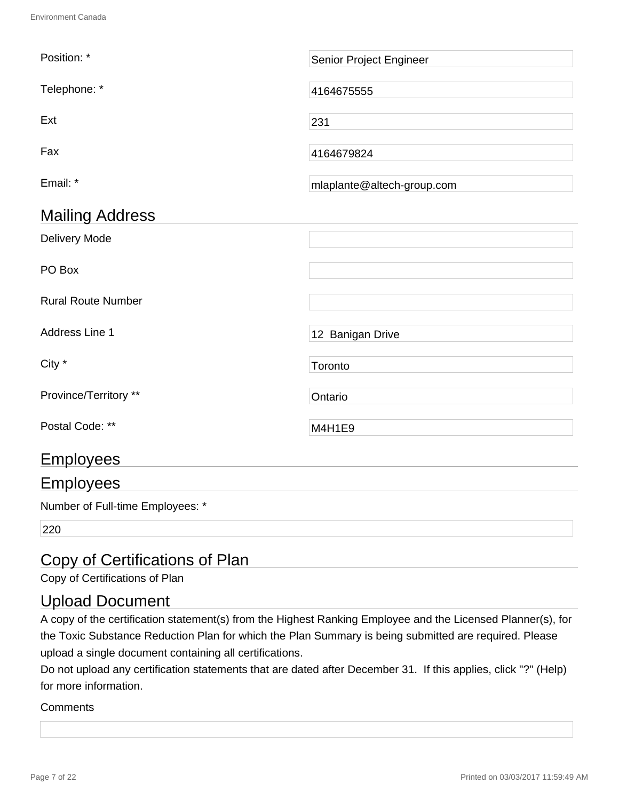| Position: *               | Senior Project Engineer    |
|---------------------------|----------------------------|
| Telephone: *              | 4164675555                 |
| Ext                       | 231                        |
| Fax                       | 4164679824                 |
| Email: *                  | mlaplante@altech-group.com |
| <b>Mailing Address</b>    |                            |
| Delivery Mode             |                            |
| PO Box                    |                            |
| <b>Rural Route Number</b> |                            |
| Address Line 1            | 12 Banigan Drive           |
| City *                    | Toronto                    |
| Province/Territory **     | Ontario                    |
| Postal Code: **           | M4H1E9                     |
| <b>Employees</b>          |                            |
| <b>Employees</b>          |                            |

Number of Full-time Employees: \*

220

# Copy of Certifications of Plan

Copy of Certifications of Plan

### Upload Document

A copy of the certification statement(s) from the Highest Ranking Employee and the Licensed Planner(s), for the Toxic Substance Reduction Plan for which the Plan Summary is being submitted are required. Please upload a single document containing all certifications.

Do not upload any certification statements that are dated after December 31. If this applies, click "?" (Help) for more information.

#### **Comments**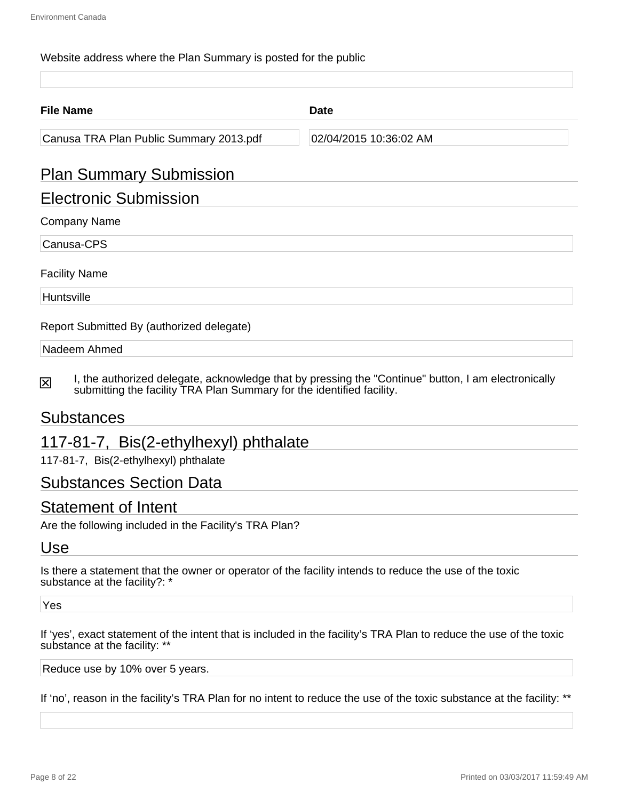#### Website address where the Plan Summary is posted for the public

| <b>File Name</b>                          | <b>Date</b>            |  |
|-------------------------------------------|------------------------|--|
| Canusa TRA Plan Public Summary 2013.pdf   | 02/04/2015 10:36:02 AM |  |
| <b>Plan Summary Submission</b>            |                        |  |
| <b>Electronic Submission</b>              |                        |  |
| <b>Company Name</b>                       |                        |  |
| Canusa-CPS                                |                        |  |
| <b>Facility Name</b>                      |                        |  |
| Huntsville                                |                        |  |
| Report Submitted By (authorized delegate) |                        |  |
| Nadeem Ahmed                              |                        |  |

I, the authorized delegate, acknowledge that by pressing the "Continue" button, I am electronically 冈 submitting the facility TRA Plan Summary for the identified facility.

#### Substances

### 117-81-7, Bis(2-ethylhexyl) phthalate

117-81-7, Bis(2-ethylhexyl) phthalate

#### Substances Section Data

#### Statement of Intent

Are the following included in the Facility's TRA Plan?

#### Use

Is there a statement that the owner or operator of the facility intends to reduce the use of the toxic substance at the facility?: \*

Yes

If 'yes', exact statement of the intent that is included in the facility's TRA Plan to reduce the use of the toxic substance at the facility: \*\*

Reduce use by 10% over 5 years.

If 'no', reason in the facility's TRA Plan for no intent to reduce the use of the toxic substance at the facility: \*\*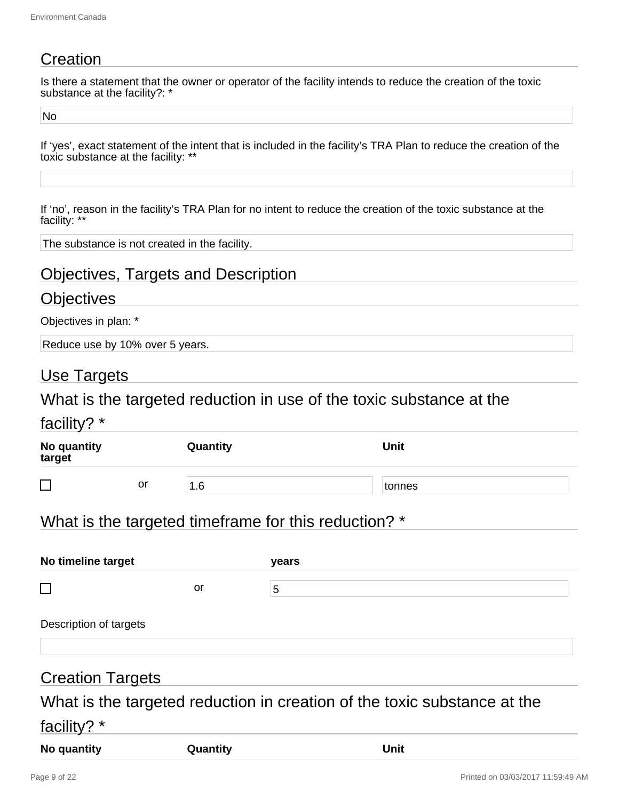# **Creation**

Is there a statement that the owner or operator of the facility intends to reduce the creation of the toxic substance at the facility?: \*

No

If 'yes', exact statement of the intent that is included in the facility's TRA Plan to reduce the creation of the toxic substance at the facility: \*\*

If 'no', reason in the facility's TRA Plan for no intent to reduce the creation of the toxic substance at the facility: \*\*

The substance is not created in the facility.

### Objectives, Targets and Description

#### **Objectives**

Objectives in plan: \*

Reduce use by 10% over 5 years.

#### Use Targets

#### What is the targeted reduction in use of the toxic substance at the

#### facility? \*

| . .<br>No quantity<br>target |    | Quantity        | Unit   |  |
|------------------------------|----|-----------------|--------|--|
| ┍<br>_                       | or | .6 <sub>1</sub> | tonnes |  |

### What is the targeted timeframe for this reduction? \*

| No timeline target     |    | <b>vears</b> |  |
|------------------------|----|--------------|--|
|                        | or | b            |  |
| Description of targets |    |              |  |

#### Creation Targets

# What is the targeted reduction in creation of the toxic substance at the facility? \*

| No quantity | Quantity | Unit |
|-------------|----------|------|
|-------------|----------|------|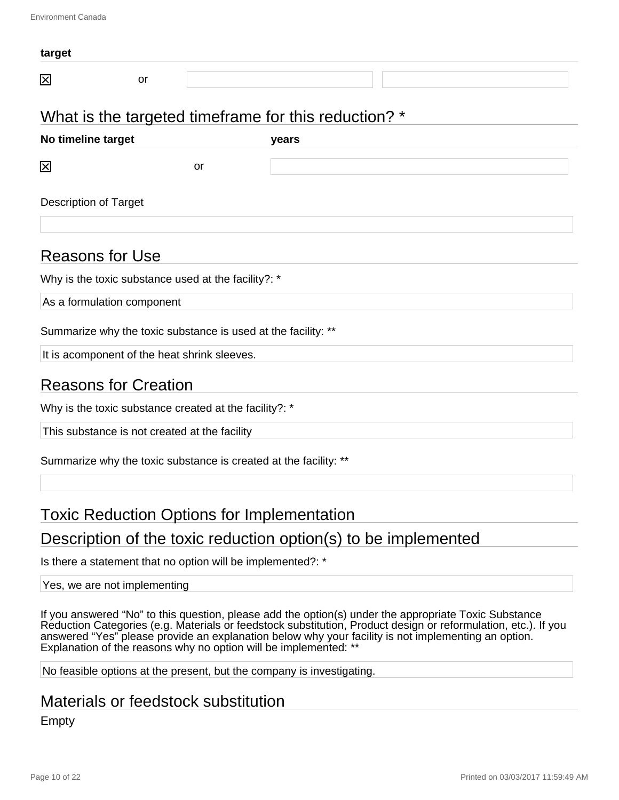| target                       |    |    |                                                      |  |
|------------------------------|----|----|------------------------------------------------------|--|
| ⊠                            | or |    |                                                      |  |
|                              |    |    | What is the targeted timeframe for this reduction? * |  |
| No timeline target           |    |    | years                                                |  |
| ⊠                            |    | or |                                                      |  |
| <b>Description of Target</b> |    |    |                                                      |  |

#### Reasons for Use

Why is the toxic substance used at the facility?: \*

As a formulation component

Summarize why the toxic substance is used at the facility: \*\*

It is acomponent of the heat shrink sleeves.

### Reasons for Creation

Why is the toxic substance created at the facility?: \*

This substance is not created at the facility

Summarize why the toxic substance is created at the facility: \*\*

### Toxic Reduction Options for Implementation

### Description of the toxic reduction option(s) to be implemented

Is there a statement that no option will be implemented?: \*

#### Yes, we are not implementing

If you answered "No" to this question, please add the option(s) under the appropriate Toxic Substance Reduction Categories (e.g. Materials or feedstock substitution, Product design or reformulation, etc.). If you answered "Yes" please provide an explanation below why your facility is not implementing an option. Explanation of the reasons why no option will be implemented: \*\*

No feasible options at the present, but the company is investigating.

#### Materials or feedstock substitution

Empty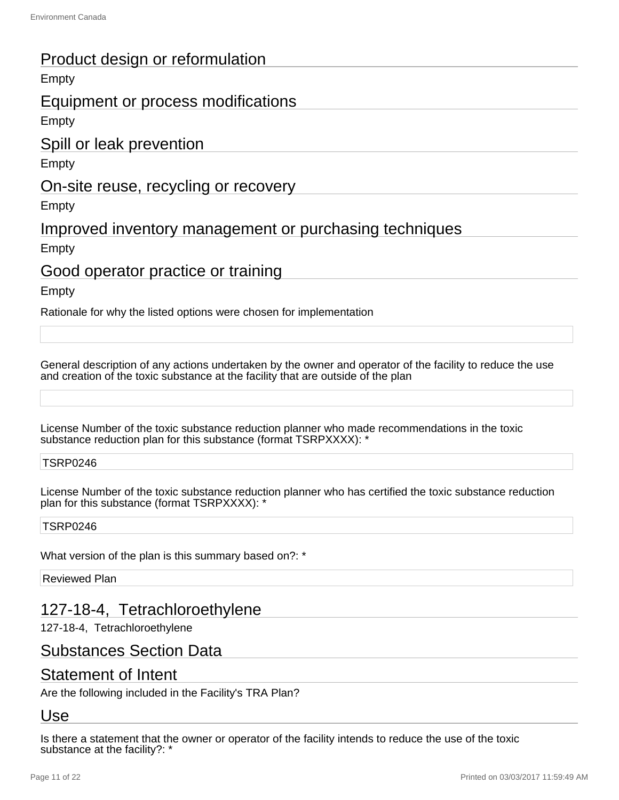### Product design or reformulation

#### Empty

#### Equipment or process modifications

Empty

#### Spill or leak prevention

Empty

#### On-site reuse, recycling or recovery

Empty

### Improved inventory management or purchasing techniques

Empty

### Good operator practice or training

Empty

Rationale for why the listed options were chosen for implementation

General description of any actions undertaken by the owner and operator of the facility to reduce the use and creation of the toxic substance at the facility that are outside of the plan

License Number of the toxic substance reduction planner who made recommendations in the toxic substance reduction plan for this substance (format TSRPXXXX): \*

#### TSRP0246

License Number of the toxic substance reduction planner who has certified the toxic substance reduction plan for this substance (format TSRPXXXX): \*

#### TSRP0246

What version of the plan is this summary based on?: \*

Reviewed Plan

# 127-18-4, Tetrachloroethylene

127-18-4, Tetrachloroethylene

#### Substances Section Data

### Statement of Intent

Are the following included in the Facility's TRA Plan?

#### Use

Is there a statement that the owner or operator of the facility intends to reduce the use of the toxic substance at the facility?: \*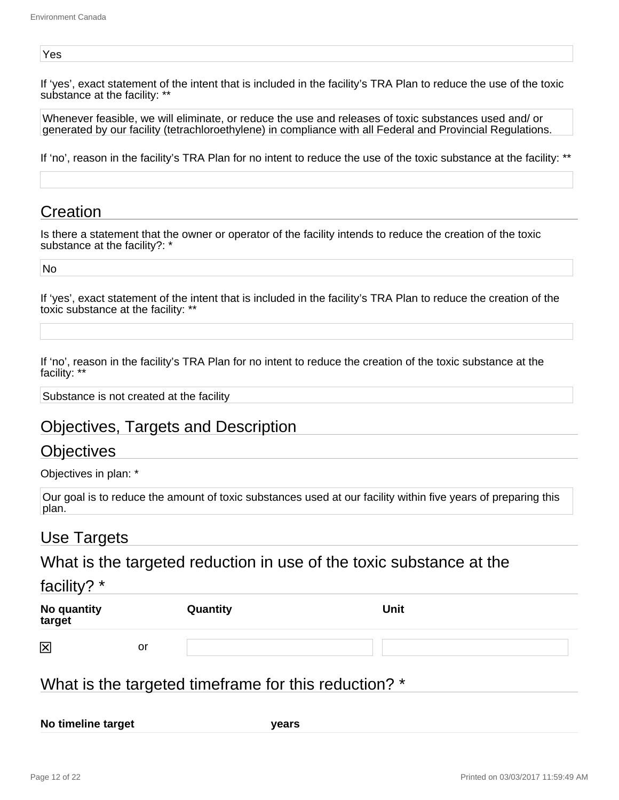#### Yes

If 'yes', exact statement of the intent that is included in the facility's TRA Plan to reduce the use of the toxic substance at the facility: \*\*

Whenever feasible, we will eliminate, or reduce the use and releases of toxic substances used and/ or generated by our facility (tetrachloroethylene) in compliance with all Federal and Provincial Regulations.

If 'no', reason in the facility's TRA Plan for no intent to reduce the use of the toxic substance at the facility: \*\*

#### Creation

Is there a statement that the owner or operator of the facility intends to reduce the creation of the toxic substance at the facility?: '

No

If 'yes', exact statement of the intent that is included in the facility's TRA Plan to reduce the creation of the toxic substance at the facility: \*\*

If 'no', reason in the facility's TRA Plan for no intent to reduce the creation of the toxic substance at the facility:

Substance is not created at the facility

### Objectives, Targets and Description

#### Objectives

Objectives in plan: \*

Our goal is to reduce the amount of toxic substances used at our facility within five years of preparing this plan.

#### Use Targets

What is the targeted reduction in use of the toxic substance at the

#### facility? \*

| No quantity<br>target |    | Quantity | <b>Unit</b> |
|-----------------------|----|----------|-------------|
| 区                     | or |          |             |

### What is the targeted timeframe for this reduction? \*

**No timeline target years**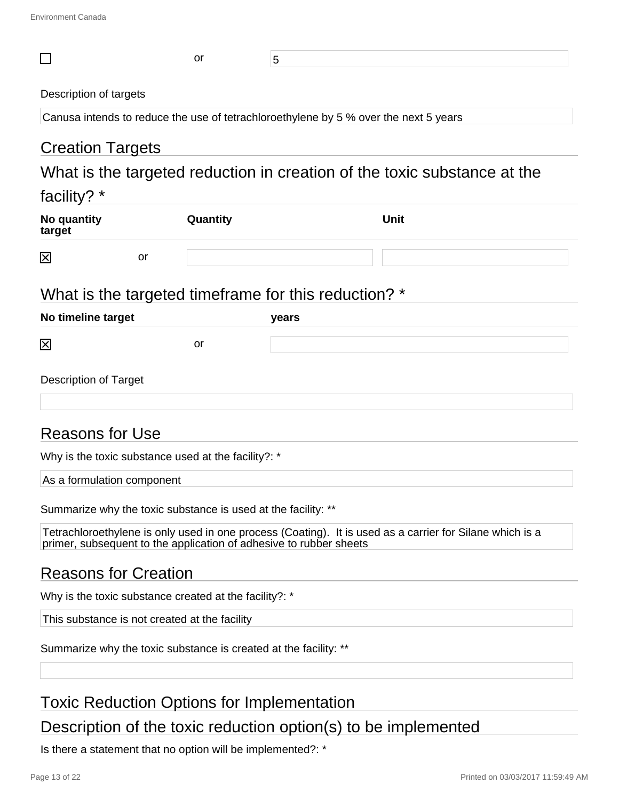| $\Box$                                                                               | or       | 5     |                                                                                                          |
|--------------------------------------------------------------------------------------|----------|-------|----------------------------------------------------------------------------------------------------------|
| Description of targets                                                               |          |       |                                                                                                          |
| Canusa intends to reduce the use of tetrachloroethylene by 5 % over the next 5 years |          |       |                                                                                                          |
| <b>Creation Targets</b>                                                              |          |       |                                                                                                          |
|                                                                                      |          |       | What is the targeted reduction in creation of the toxic substance at the                                 |
|                                                                                      |          |       |                                                                                                          |
| facility? *                                                                          |          |       |                                                                                                          |
| No quantity<br>target                                                                | Quantity |       | <b>Unit</b>                                                                                              |
| 区<br>or                                                                              |          |       |                                                                                                          |
|                                                                                      |          |       |                                                                                                          |
| What is the targeted timeframe for this reduction? *                                 |          |       |                                                                                                          |
| No timeline target                                                                   |          | years |                                                                                                          |
| 区                                                                                    | or       |       |                                                                                                          |
| <b>Description of Target</b>                                                         |          |       |                                                                                                          |
| <b>Reasons for Use</b>                                                               |          |       |                                                                                                          |
| Why is the toxic substance used at the facility?: *                                  |          |       |                                                                                                          |
| As a formulation component                                                           |          |       |                                                                                                          |
| Summarize why the toxic substance is used at the facility: **                        |          |       |                                                                                                          |
| primer, subsequent to the application of adhesive to rubber sheets                   |          |       | Tetrachloroethylene is only used in one process (Coating). It is used as a carrier for Silane which is a |
| <b>Reasons for Creation</b>                                                          |          |       |                                                                                                          |
| Why is the toxic substance created at the facility?: *                               |          |       |                                                                                                          |
| This substance is not created at the facility                                        |          |       |                                                                                                          |

Summarize why the toxic substance is created at the facility: \*\*

# Toxic Reduction Options for Implementation

Description of the toxic reduction option(s) to be implemented

Is there a statement that no option will be implemented?: \*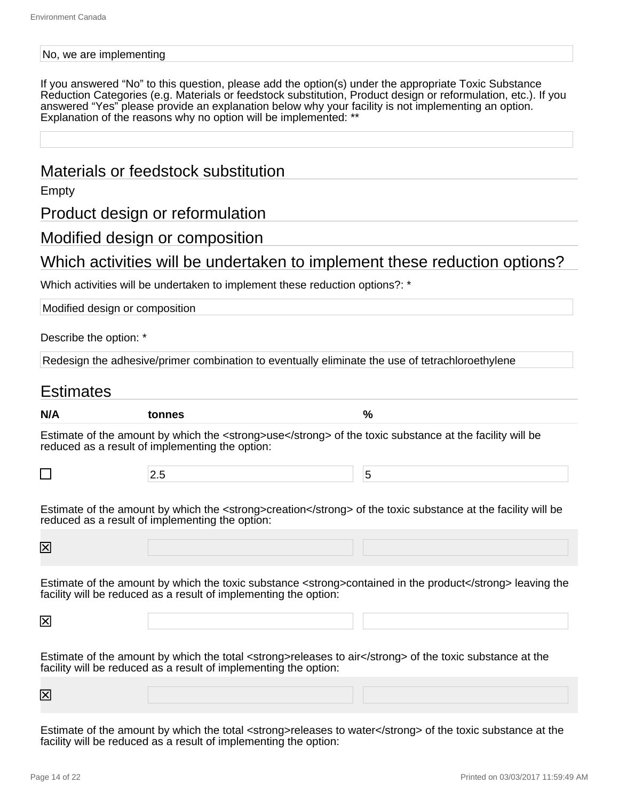#### No, we are implementing

If you answered "No" to this question, please add the option(s) under the appropriate Toxic Substance Reduction Categories (e.g. Materials or feedstock substitution, Product design or reformulation, etc.). If you answered "Yes" please provide an explanation below why your facility is not implementing an option. Explanation of the reasons why no option will be implemented: \*\*

#### Materials or feedstock substitution

Empty

Product design or reformulation

#### Modified design or composition

#### Which activities will be undertaken to implement these reduction options?

Which activities will be undertaken to implement these reduction options?: \*

| Modified design or composition |                                                                                                                                                                              |                                                                                                           |
|--------------------------------|------------------------------------------------------------------------------------------------------------------------------------------------------------------------------|-----------------------------------------------------------------------------------------------------------|
| Describe the option: *         |                                                                                                                                                                              |                                                                                                           |
|                                | Redesign the adhesive/primer combination to eventually eliminate the use of tetrachloroethylene                                                                              |                                                                                                           |
| <b>Estimates</b>               |                                                                                                                                                                              |                                                                                                           |
| N/A                            | tonnes                                                                                                                                                                       | $\frac{0}{0}$                                                                                             |
|                                | Estimate of the amount by which the <strong>use</strong> of the toxic substance at the facility will be<br>reduced as a result of implementing the option:                   |                                                                                                           |
| $\Box$                         | 2.5                                                                                                                                                                          | 5                                                                                                         |
| $\boxtimes$                    | Estimate of the amount by which the <strong>creation</strong> of the toxic substance at the facility will be<br>reduced as a result of implementing the option:              |                                                                                                           |
|                                | facility will be reduced as a result of implementing the option:                                                                                                             | Estimate of the amount by which the toxic substance <strong>contained in the product</strong> leaving the |
| 図                              |                                                                                                                                                                              |                                                                                                           |
|                                | Estimate of the amount by which the total <strong>releases to air</strong> of the toxic substance at the<br>facility will be reduced as a result of implementing the option: |                                                                                                           |
| $\boxtimes$                    |                                                                                                                                                                              |                                                                                                           |
|                                |                                                                                                                                                                              |                                                                                                           |

Estimate of the amount by which the total <strong>releases to water</strong> of the toxic substance at the facility will be reduced as a result of implementing the option: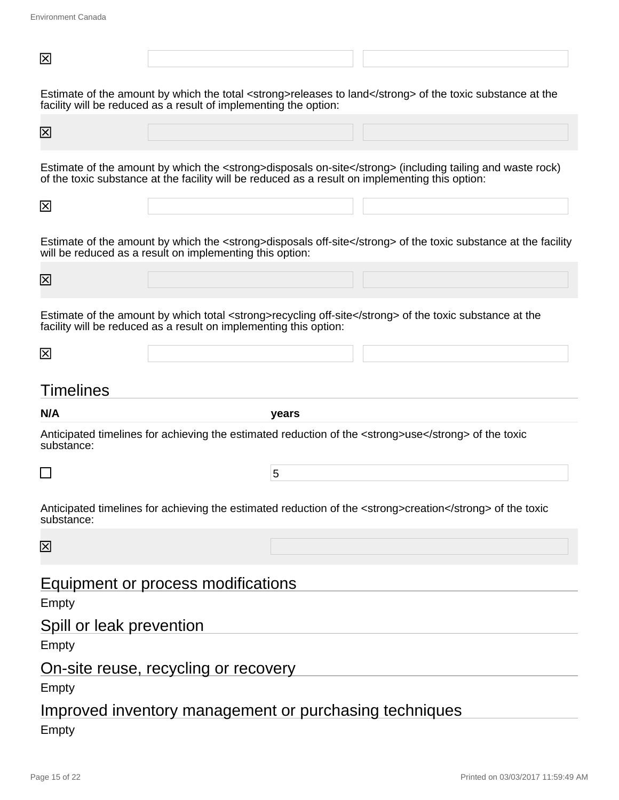| 区                                 |                                                                                                                                                                                                              |
|-----------------------------------|--------------------------------------------------------------------------------------------------------------------------------------------------------------------------------------------------------------|
|                                   | Estimate of the amount by which the total <strong>releases to land</strong> of the toxic substance at the<br>facility will be reduced as a result of implementing the option:                                |
| $\overline{\mathsf{x}}$           |                                                                                                                                                                                                              |
|                                   | Estimate of the amount by which the <strong>disposals on-site</strong> (including tailing and waste rock)<br>of the toxic substance at the facility will be reduced as a result on implementing this option: |
| 区                                 |                                                                                                                                                                                                              |
|                                   | Estimate of the amount by which the <strong>disposals off-site</strong> of the toxic substance at the facility<br>will be reduced as a result on implementing this option:                                   |
| $\boxtimes$                       |                                                                                                                                                                                                              |
|                                   | Estimate of the amount by which total <strong>recycling off-site</strong> of the toxic substance at the<br>facility will be reduced as a result on implementing this option:                                 |
| 区                                 |                                                                                                                                                                                                              |
|                                   |                                                                                                                                                                                                              |
| Timelines                         |                                                                                                                                                                                                              |
| N/A                               | years                                                                                                                                                                                                        |
| substance:                        | Anticipated timelines for achieving the estimated reduction of the <strong>use</strong> of the toxic                                                                                                         |
|                                   | 5                                                                                                                                                                                                            |
| substance:                        | Anticipated timelines for achieving the estimated reduction of the <strong>creation</strong> of the toxic                                                                                                    |
| $\boxtimes$                       |                                                                                                                                                                                                              |
|                                   | Equipment or process modifications                                                                                                                                                                           |
| Empty<br>Spill or leak prevention |                                                                                                                                                                                                              |
| Empty                             |                                                                                                                                                                                                              |
| Empty                             | On-site reuse, recycling or recovery                                                                                                                                                                         |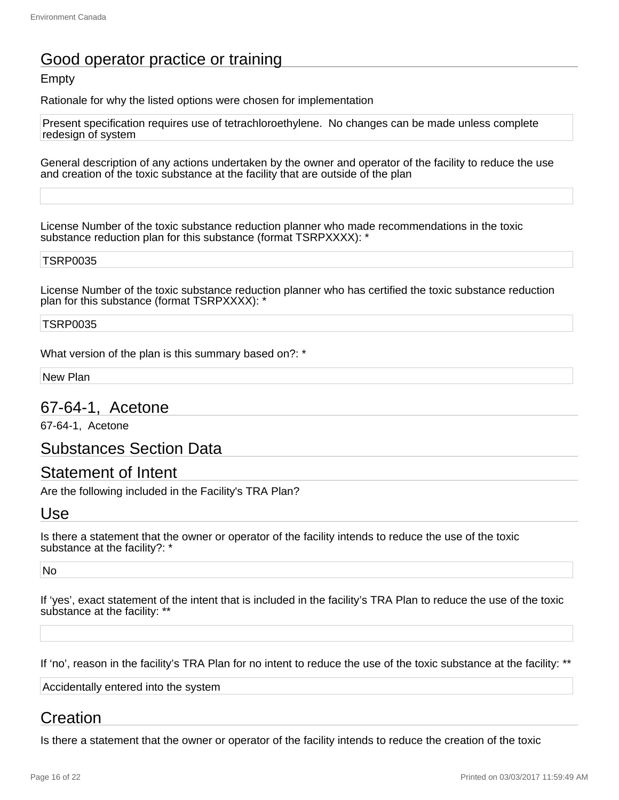# Good operator practice or training

#### **Empty**

Rationale for why the listed options were chosen for implementation

Present specification requires use of tetrachloroethylene. No changes can be made unless complete redesign of system

General description of any actions undertaken by the owner and operator of the facility to reduce the use and creation of the toxic substance at the facility that are outside of the plan

License Number of the toxic substance reduction planner who made recommendations in the toxic substance reduction plan for this substance (format TSRPXXXX): \*

#### TSRP0035

License Number of the toxic substance reduction planner who has certified the toxic substance reduction plan for this substance (format TSRPXXXX): \*

#### TSRP0035

What version of the plan is this summary based on?: \*

New Plan

#### 67-64-1, Acetone

67-64-1, Acetone

Substances Section Data

#### Statement of Intent

Are the following included in the Facility's TRA Plan?

#### Use

Is there a statement that the owner or operator of the facility intends to reduce the use of the toxic substance at the facility?: \*

No

If 'yes', exact statement of the intent that is included in the facility's TRA Plan to reduce the use of the toxic substance at the facility: \*\*

If 'no', reason in the facility's TRA Plan for no intent to reduce the use of the toxic substance at the facility: \*\*

Accidentally entered into the system

### Creation

Is there a statement that the owner or operator of the facility intends to reduce the creation of the toxic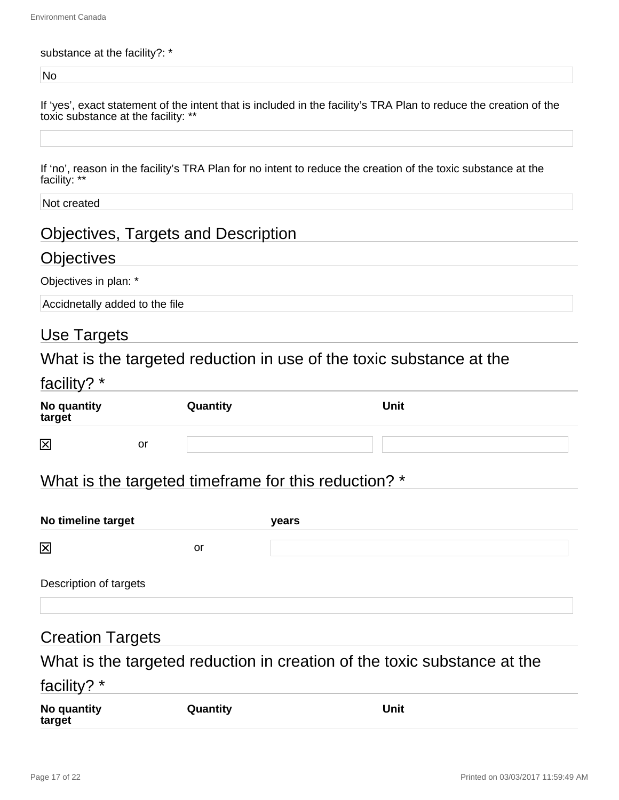#### substance at the facility?: \*

No

| If 'yes', exact statement of the intent that is included in the facility's TRA Plan to reduce the creation of the |  |  |
|-------------------------------------------------------------------------------------------------------------------|--|--|
| toxic substance at the facility: **                                                                               |  |  |

If 'no', reason in the facility's TRA Plan for no intent to reduce the creation of the toxic substance at the facility: \*\*

Not created

# Objectives, Targets and Description

## **Objectives**

Objectives in plan: \*

Accidnetally added to the file

# Use Targets

What is the targeted reduction in use of the toxic substance at the

| facility? *             |    |          |      |
|-------------------------|----|----------|------|
| No quantity<br>target   |    | Quantity | Unit |
| $\overline{\mathsf{x}}$ | or |          |      |

# What is the targeted timeframe for this reduction? \*

| No timeline target     |    | years |  |
|------------------------|----|-------|--|
| 区                      | or |       |  |
| Description of targets |    |       |  |

### Creation Targets

What is the targeted reduction in creation of the toxic substance at the

# facility? \*

| No quantity<br>target | Quantity | Unit |
|-----------------------|----------|------|
|-----------------------|----------|------|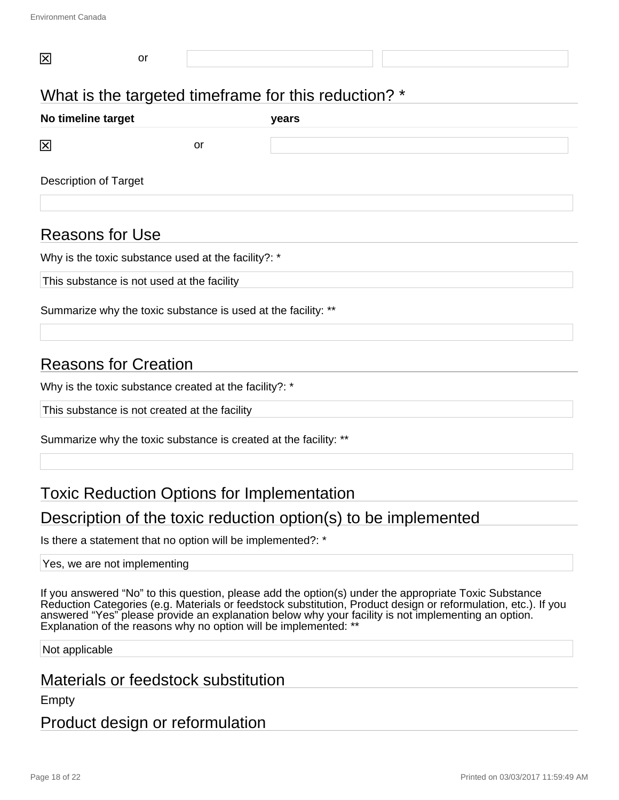| What is the targeted timeframe for this reduction? * |  |  |  |  |  |  |
|------------------------------------------------------|--|--|--|--|--|--|
| No timeline target<br>years                          |  |  |  |  |  |  |
| 区<br>or                                              |  |  |  |  |  |  |
| <b>Description of Target</b>                         |  |  |  |  |  |  |

### Reasons for Use

Why is the toxic substance used at the facility?: \*

This substance is not used at the facility

Summarize why the toxic substance is used at the facility: \*\*

### Reasons for Creation

Why is the toxic substance created at the facility?: \*

This substance is not created at the facility

Summarize why the toxic substance is created at the facility: \*\*

#### Toxic Reduction Options for Implementation

#### Description of the toxic reduction option(s) to be implemented

Is there a statement that no option will be implemented?: \*

#### Yes, we are not implementing

If you answered "No" to this question, please add the option(s) under the appropriate Toxic Substance Reduction Categories (e.g. Materials or feedstock substitution, Product design or reformulation, etc.). If you answered "Yes" please provide an explanation below why your facility is not implementing an option. Explanation of the reasons why no option will be implemented: \*\*

Not applicable

### Materials or feedstock substitution

Empty

#### Product design or reformulation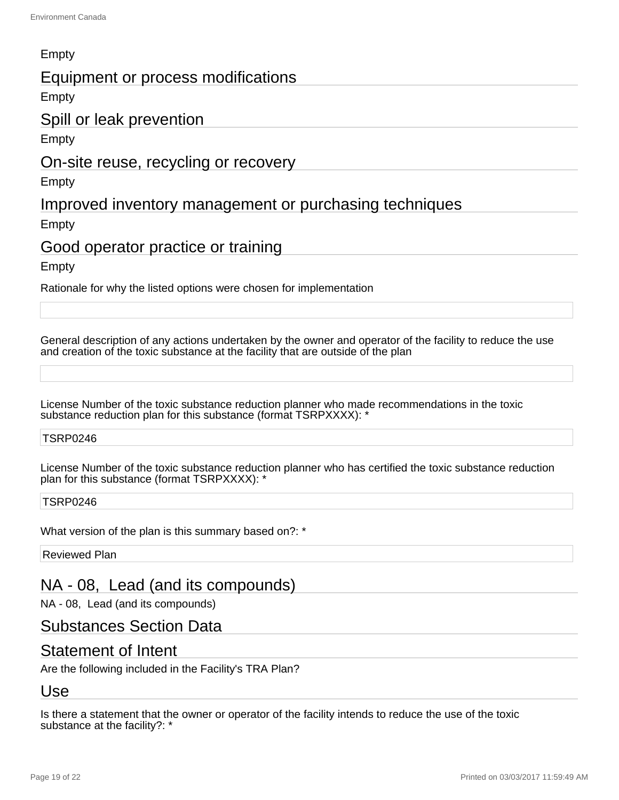#### Empty

#### Equipment or process modifications

**Empty** 

#### Spill or leak prevention

Empty

#### On-site reuse, recycling or recovery

Empty

#### Improved inventory management or purchasing techniques

Empty

#### Good operator practice or training

**Empty** 

Rationale for why the listed options were chosen for implementation

General description of any actions undertaken by the owner and operator of the facility to reduce the use and creation of the toxic substance at the facility that are outside of the plan

License Number of the toxic substance reduction planner who made recommendations in the toxic substance reduction plan for this substance (format TSRPXXXX): '

#### TSRP0246

License Number of the toxic substance reduction planner who has certified the toxic substance reduction plan for this substance (format TSRPXXXX): \*

#### TSRP0246

What version of the plan is this summary based on?: \*

Reviewed Plan

### NA - 08, Lead (and its compounds)

NA - 08, Lead (and its compounds)

#### Substances Section Data

#### Statement of Intent

Are the following included in the Facility's TRA Plan?

### Use

Is there a statement that the owner or operator of the facility intends to reduce the use of the toxic substance at the facility?: \*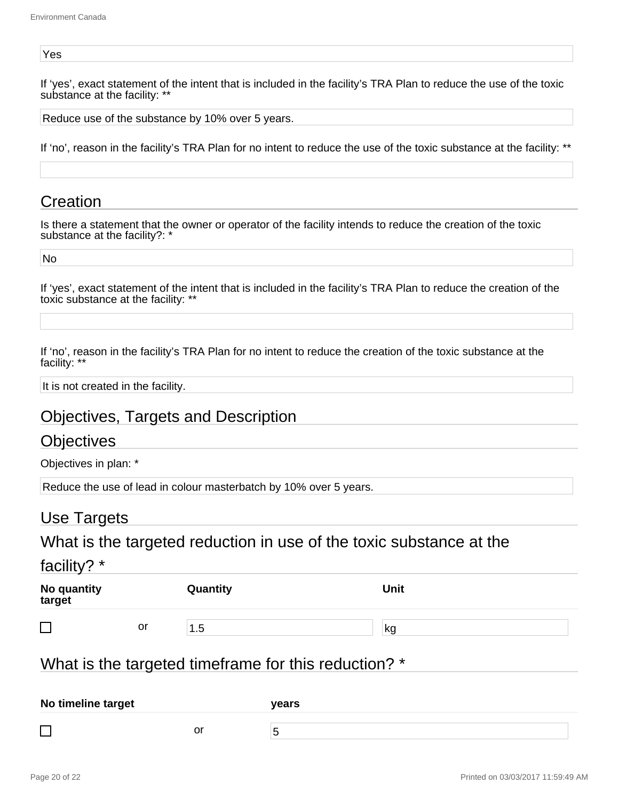#### Yes

If 'yes', exact statement of the intent that is included in the facility's TRA Plan to reduce the use of the toxic substance at the facility: \*\*

Reduce use of the substance by 10% over 5 years.

If 'no', reason in the facility's TRA Plan for no intent to reduce the use of the toxic substance at the facility: \*\*

#### **Creation**

Is there a statement that the owner or operator of the facility intends to reduce the creation of the toxic substance at the facility?: \*

No

If 'yes', exact statement of the intent that is included in the facility's TRA Plan to reduce the creation of the toxic substance at the facility: \*\*

If 'no', reason in the facility's TRA Plan for no intent to reduce the creation of the toxic substance at the facility: \*\*

It is not created in the facility.

### Objectives, Targets and Description

#### **Objectives**

Objectives in plan: \*

Reduce the use of lead in colour masterbatch by 10% over 5 years.

#### Use Targets

What is the targeted reduction in use of the toxic substance at the

facility? \*

| No quantity<br>target |    | Quantity        | <b>Unit</b> |  |
|-----------------------|----|-----------------|-------------|--|
|                       | or | .5 <sub>1</sub> | kg          |  |

#### What is the targeted timeframe for this reduction? \*

| No timeline target |    | vears |  |
|--------------------|----|-------|--|
| –                  |    |       |  |
|                    | or |       |  |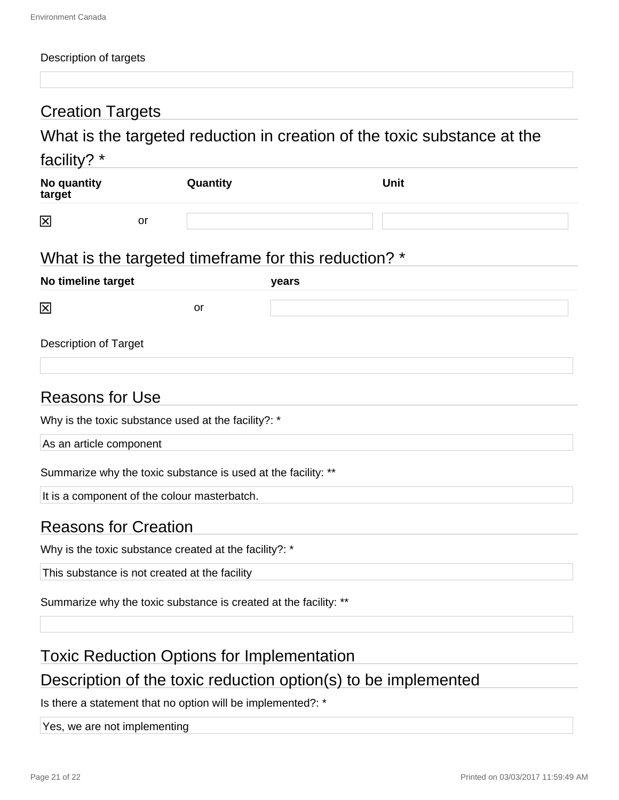#### Description of targets

# Creation Targets

# What is the targeted reduction in creation of the toxic substance at the

#### facility? \*

| No quantity<br>target |    | Quantity | Unit |  |
|-----------------------|----|----------|------|--|
| 区                     | or |          |      |  |

# What is the targeted timeframe for this reduction? \*

| No timeline target           |    | years |  |
|------------------------------|----|-------|--|
| 図                            | or |       |  |
| <b>Description of Target</b> |    |       |  |

#### Reasons for Use

Why is the toxic substance used at the facility?: \*

As an article component

Summarize why the toxic substance is used at the facility: \*\*

It is a component of the colour masterbatch.

### Reasons for Creation

Why is the toxic substance created at the facility?: \*

This substance is not created at the facility

Summarize why the toxic substance is created at the facility: \*\*

### Toxic Reduction Options for Implementation

# Description of the toxic reduction option(s) to be implemented

Is there a statement that no option will be implemented?: \*

Yes, we are not implementing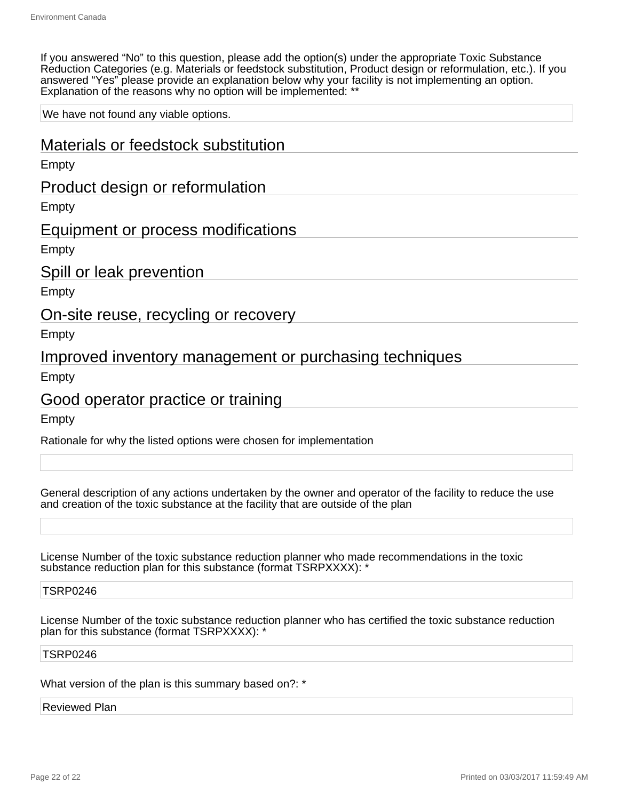If you answered "No" to this question, please add the option(s) under the appropriate Toxic Substance Reduction Categories (e.g. Materials or feedstock substitution, Product design or reformulation, etc.). If you answered "Yes" please provide an explanation below why your facility is not implementing an option. Explanation of the reasons why no option will be implemented: \*\*

We have not found any viable options.

Materials or feedstock substitution Empty Product design or reformulation Empty Equipment or process modifications Empty Spill or leak prevention Empty On-site reuse, recycling or recovery Empty Improved inventory management or purchasing techniques Empty Good operator practice or training Empty Rationale for why the listed options were chosen for implementation

General description of any actions undertaken by the owner and operator of the facility to reduce the use and creation of the toxic substance at the facility that are outside of the plan

License Number of the toxic substance reduction planner who made recommendations in the toxic substance reduction plan for this substance (format TSRPXXXX): \*

#### TSRP0246

License Number of the toxic substance reduction planner who has certified the toxic substance reduction plan for this substance (format TSRPXXXX): \*

#### TSRP0246

What version of the plan is this summary based on?: \*

#### Reviewed Plan